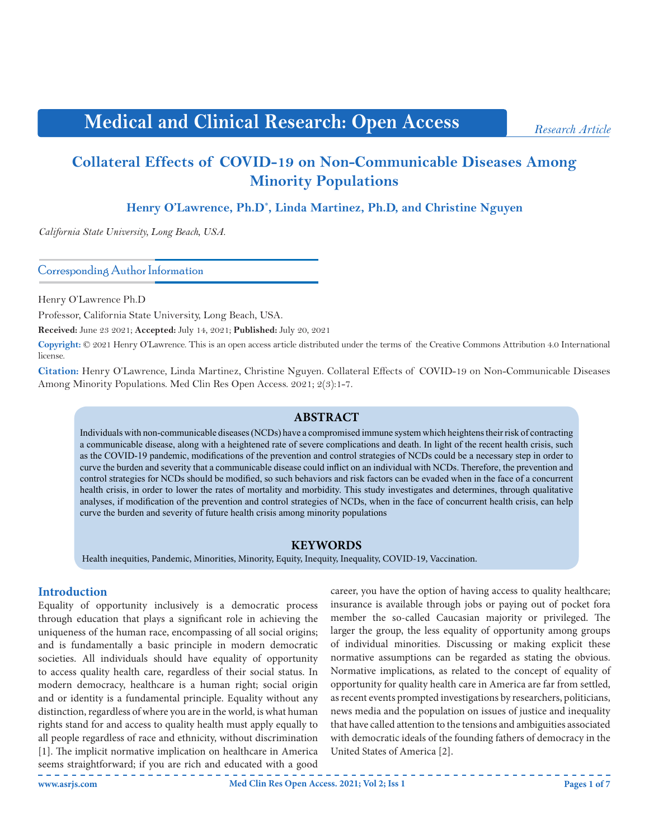# **Medical and Clinical Research: Open Access**

# **Collateral Effects of COVID-19 on Non-Communicable Diseases Among Minority Populations**

**Henry O'Lawrence, Ph.D\* , Linda Martinez, Ph.D, and Christine Nguyen**

*California State University, Long Beach, USA.*

Corresponding Author Information

Henry O'Lawrence Ph.D

Professor, California State University, Long Beach, USA.

**Received:** June 23 2021; **Accepted:** July 14, 2021; **Published:** July 20, 2021

**Copyright:** © 2021 Henry O'Lawrence. This is an open access article distributed under the terms of the Creative Commons Attribution 4.0 International license.

**Citation:** Henry O'Lawrence, Linda Martinez, Christine Nguyen. Collateral Effects of COVID-19 on Non-Communicable Diseases Among Minority Populations. Med Clin Res Open Access. 2021; 2(3):1-7.

#### **ABSTRACT**

Individuals with non-communicable diseases (NCDs) have a compromised immune system which heightens their risk of contracting a communicable disease, along with a heightened rate of severe complications and death. In light of the recent health crisis, such as the COVID-19 pandemic, modifications of the prevention and control strategies of NCDs could be a necessary step in order to curve the burden and severity that a communicable disease could inflict on an individual with NCDs. Therefore, the prevention and control strategies for NCDs should be modified, so such behaviors and risk factors can be evaded when in the face of a concurrent health crisis, in order to lower the rates of mortality and morbidity. This study investigates and determines, through qualitative analyses, if modification of the prevention and control strategies of NCDs, when in the face of concurrent health crisis, can help curve the burden and severity of future health crisis among minority populations

#### **KEYWORDS**

Health inequities, Pandemic, Minorities, Minority, Equity, Inequity, Inequality, COVID-19, Vaccination.

### **Introduction**

Equality of opportunity inclusively is a democratic process through education that plays a significant role in achieving the uniqueness of the human race, encompassing of all social origins; and is fundamentally a basic principle in modern democratic societies. All individuals should have equality of opportunity to access quality health care, regardless of their social status. In modern democracy, healthcare is a human right; social origin and or identity is a fundamental principle. Equality without any distinction, regardless of where you are in the world, is what human rights stand for and access to quality health must apply equally to all people regardless of race and ethnicity, without discrimination [1]. The implicit normative implication on healthcare in America seems straightforward; if you are rich and educated with a good

career, you have the option of having access to quality healthcare; insurance is available through jobs or paying out of pocket fora member the so-called Caucasian majority or privileged. The larger the group, the less equality of opportunity among groups of individual minorities. Discussing or making explicit these normative assumptions can be regarded as stating the obvious. Normative implications, as related to the concept of equality of opportunity for quality health care in America are far from settled, as recent events prompted investigations by researchers, politicians, news media and the population on issues of justice and inequality that have called attention to the tensions and ambiguities associated with democratic ideals of the founding fathers of democracy in the United States of America [2].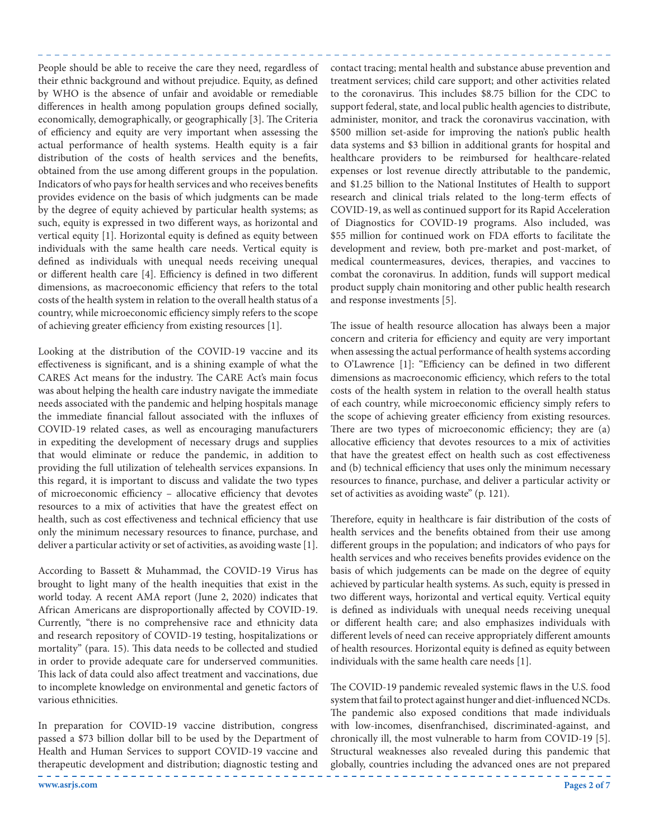People should be able to receive the care they need, regardless of their ethnic background and without prejudice. Equity, as defined by WHO is the absence of unfair and avoidable or remediable differences in health among population groups defined socially, economically, demographically, or geographically [3]. The Criteria of efficiency and equity are very important when assessing the actual performance of health systems. Health equity is a fair distribution of the costs of health services and the benefits, obtained from the use among different groups in the population. Indicators of who pays for health services and who receives benefits provides evidence on the basis of which judgments can be made by the degree of equity achieved by particular health systems; as such, equity is expressed in two different ways, as horizontal and vertical equity [1]. Horizontal equity is defined as equity between individuals with the same health care needs. Vertical equity is defined as individuals with unequal needs receiving unequal or different health care [4]. Efficiency is defined in two different dimensions, as macroeconomic efficiency that refers to the total costs of the health system in relation to the overall health status of a country, while microeconomic efficiency simply refers to the scope of achieving greater efficiency from existing resources [1].

Looking at the distribution of the COVID-19 vaccine and its effectiveness is significant, and is a shining example of what the CARES Act means for the industry. The CARE Act's main focus was about helping the health care industry navigate the immediate needs associated with the pandemic and helping hospitals manage the immediate financial fallout associated with the influxes of COVID-19 related cases, as well as encouraging manufacturers in expediting the development of necessary drugs and supplies that would eliminate or reduce the pandemic, in addition to providing the full utilization of telehealth services expansions. In this regard, it is important to discuss and validate the two types of microeconomic efficiency – allocative efficiency that devotes resources to a mix of activities that have the greatest effect on health, such as cost effectiveness and technical efficiency that use only the minimum necessary resources to finance, purchase, and deliver a particular activity or set of activities, as avoiding waste [1].

According to Bassett & Muhammad, the COVID-19 Virus has brought to light many of the health inequities that exist in the world today. A recent AMA report (June 2, 2020) indicates that African Americans are disproportionally affected by COVID-19. Currently, "there is no comprehensive race and ethnicity data and research repository of COVID-19 testing, hospitalizations or mortality" (para. 15). This data needs to be collected and studied in order to provide adequate care for underserved communities. This lack of data could also affect treatment and vaccinations, due to incomplete knowledge on environmental and genetic factors of various ethnicities.

In preparation for COVID-19 vaccine distribution, congress passed a \$73 billion dollar bill to be used by the Department of Health and Human Services to support COVID-19 vaccine and therapeutic development and distribution; diagnostic testing and

contact tracing; mental health and substance abuse prevention and treatment services; child care support; and other activities related to the coronavirus. This includes \$8.75 billion for the CDC to support federal, state, and local public health agencies to distribute, administer, monitor, and track the coronavirus vaccination, with \$500 million set-aside for improving the nation's public health data systems and \$3 billion in additional grants for hospital and healthcare providers to be reimbursed for healthcare-related expenses or lost revenue directly attributable to the pandemic, and \$1.25 billion to the National Institutes of Health to support research and clinical trials related to the long-term effects of COVID-19, as well as continued support for its Rapid Acceleration of Diagnostics for COVID-19 programs. Also included, was \$55 million for continued work on FDA efforts to facilitate the development and review, both pre-market and post-market, of medical countermeasures, devices, therapies, and vaccines to combat the coronavirus. In addition, funds will support medical product supply chain monitoring and other public health research and response investments [5].

The issue of health resource allocation has always been a major concern and criteria for efficiency and equity are very important when assessing the actual performance of health systems according to O'Lawrence [1]: "Efficiency can be defined in two different dimensions as macroeconomic efficiency, which refers to the total costs of the health system in relation to the overall health status of each country, while microeconomic efficiency simply refers to the scope of achieving greater efficiency from existing resources. There are two types of microeconomic efficiency; they are (a) allocative efficiency that devotes resources to a mix of activities that have the greatest effect on health such as cost effectiveness and (b) technical efficiency that uses only the minimum necessary resources to finance, purchase, and deliver a particular activity or set of activities as avoiding waste" (p. 121).

Therefore, equity in healthcare is fair distribution of the costs of health services and the benefits obtained from their use among different groups in the population; and indicators of who pays for health services and who receives benefits provides evidence on the basis of which judgements can be made on the degree of equity achieved by particular health systems. As such, equity is pressed in two different ways, horizontal and vertical equity. Vertical equity is defined as individuals with unequal needs receiving unequal or different health care; and also emphasizes individuals with different levels of need can receive appropriately different amounts of health resources. Horizontal equity is defined as equity between individuals with the same health care needs [1].

The COVID-19 pandemic revealed systemic flaws in the U.S. food system that fail to protect against hunger and diet-influenced NCDs. The pandemic also exposed conditions that made individuals with low-incomes, disenfranchised, discriminated-against, and chronically ill, the most vulnerable to harm from COVID-19 [5]. Structural weaknesses also revealed during this pandemic that globally, countries including the advanced ones are not prepared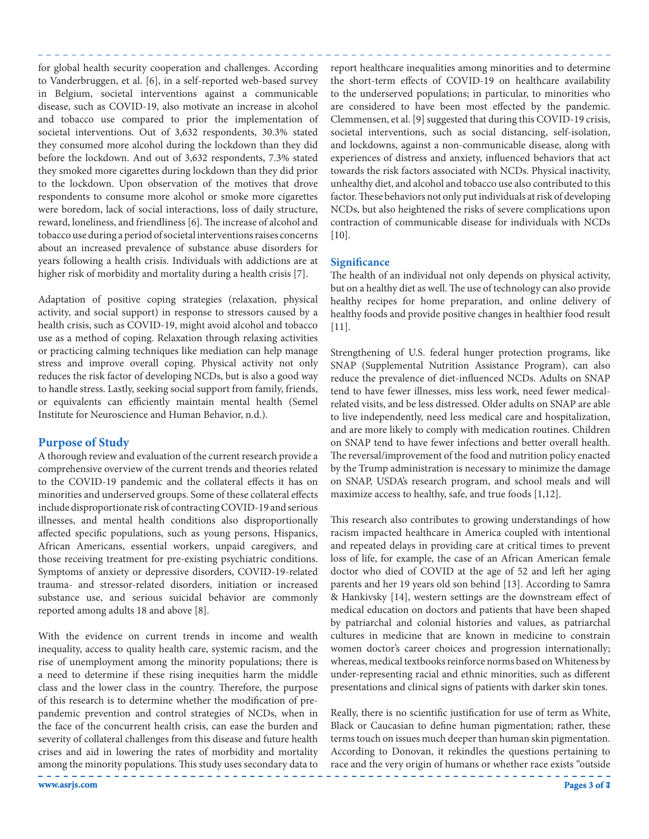for global health security cooperation and challenges. According to Vanderbruggen, et al. [6], in a self-reported web-based survey in Belgium, societal interventions against a communicable disease, such as COVID-19, also motivate an increase in alcohol and tobacco use compared to prior the implementation of societal interventions. Out of 3,632 respondents, 30.3% stated they consumed more alcohol during the lockdown than they did before the lockdown. And out of 3,632 respondents, 7.3% stated they smoked more cigarettes during lockdown than they did prior to the lockdown. Upon observation of the motives that drove respondents to consume more alcohol or smoke more cigarettes were boredom, lack of social interactions, loss of daily structure, reward, loneliness, and friendliness [6]. The increase of alcohol and tobacco use during a period of societal interventions raises concerns about an increased prevalence of substance abuse disorders for years following a health crisis. Individuals with addictions are at higher risk of morbidity and mortality during a health crisis [7].

Adaptation of positive coping strategies (relaxation, physical activity, and social support) in response to stressors caused by a health crisis, such as COVID-19, might avoid alcohol and tobacco use as a method of coping. Relaxation through relaxing activities or practicing calming techniques like mediation can help manage stress and improve overall coping. Physical activity not only reduces the risk factor of developing NCDs, but is also a good way to handle stress. Lastly, seeking social support from family, friends, or equivalents can efficiently maintain mental health (Semel Institute for Neuroscience and Human Behavior, n.d.).

# **Purpose of Study**

A thorough review and evaluation of the current research provide a comprehensive overview of the current trends and theories related to the COVID-19 pandemic and the collateral effects it has on minorities and underserved groups. Some of these collateral effects include disproportionate risk of contracting COVID-19 and serious illnesses, and mental health conditions also disproportionally affected specific populations, such as young persons, Hispanics, African Americans, essential workers, unpaid caregivers, and those receiving treatment for pre-existing psychiatric conditions. Symptoms of anxiety or depressive disorders, COVID-19-related trauma- and stressor-related disorders, initiation or increased substance use, and serious suicidal behavior are commonly reported among adults 18 and above [8].

With the evidence on current trends in income and wealth inequality, access to quality health care, systemic racism, and the rise of unemployment among the minority populations; there is a need to determine if these rising inequities harm the middle class and the lower class in the country. Therefore, the purpose of this research is to determine whether the modification of prepandemic prevention and control strategies of NCDs, when in the face of the concurrent health crisis, can ease the burden and severity of collateral challenges from this disease and future health crises and aid in lowering the rates of morbidity and mortality among the minority populations. This study uses secondary data to

report healthcare inequalities among minorities and to determine the short-term effects of COVID-19 on healthcare availability to the underserved populations; in particular, to minorities who are considered to have been most effected by the pandemic. Clemmensen, et al. [9] suggested that during this COVID-19 crisis, societal interventions, such as social distancing, self-isolation, and lockdowns, against a non-communicable disease, along with experiences of distress and anxiety, influenced behaviors that act towards the risk factors associated with NCDs. Physical inactivity, unhealthy diet, and alcohol and tobacco use also contributed to this factor. These behaviors not only put individuals at risk of developing NCDs, but also heightened the risks of severe complications upon contraction of communicable disease for individuals with NCDs [10].

## **Significance**

The health of an individual not only depends on physical activity, but on a healthy diet as well. The use of technology can also provide healthy recipes for home preparation, and online delivery of healthy foods and provide positive changes in healthier food result [11].

Strengthening of U.S. federal hunger protection programs, like SNAP (Supplemental Nutrition Assistance Program), can also reduce the prevalence of diet-influenced NCDs. Adults on SNAP tend to have fewer illnesses, miss less work, need fewer medicalrelated visits, and be less distressed. Older adults on SNAP are able to live independently, need less medical care and hospitalization, and are more likely to comply with medication routines. Children on SNAP tend to have fewer infections and better overall health. The reversal/improvement of the food and nutrition policy enacted by the Trump administration is necessary to minimize the damage on SNAP, USDA's research program, and school meals and will maximize access to healthy, safe, and true foods [1,12].

This research also contributes to growing understandings of how racism impacted healthcare in America coupled with intentional and repeated delays in providing care at critical times to prevent loss of life, for example, the case of an African American female doctor who died of COVID at the age of 52 and left her aging parents and her 19 years old son behind [13]. According to Samra & Hankivsky [14], western settings are the downstream effect of medical education on doctors and patients that have been shaped by patriarchal and colonial histories and values, as patriarchal cultures in medicine that are known in medicine to constrain women doctor's career choices and progression internationally; whereas, medical textbooks reinforce norms based on Whiteness by under-representing racial and ethnic minorities, such as different presentations and clinical signs of patients with darker skin tones.

Really, there is no scientific justification for use of term as White, Black or Caucasian to define human pigmentation; rather, these terms touch on issues much deeper than human skin pigmentation. According to Donovan, it rekindles the questions pertaining to race and the very origin of humans or whether race exists "outside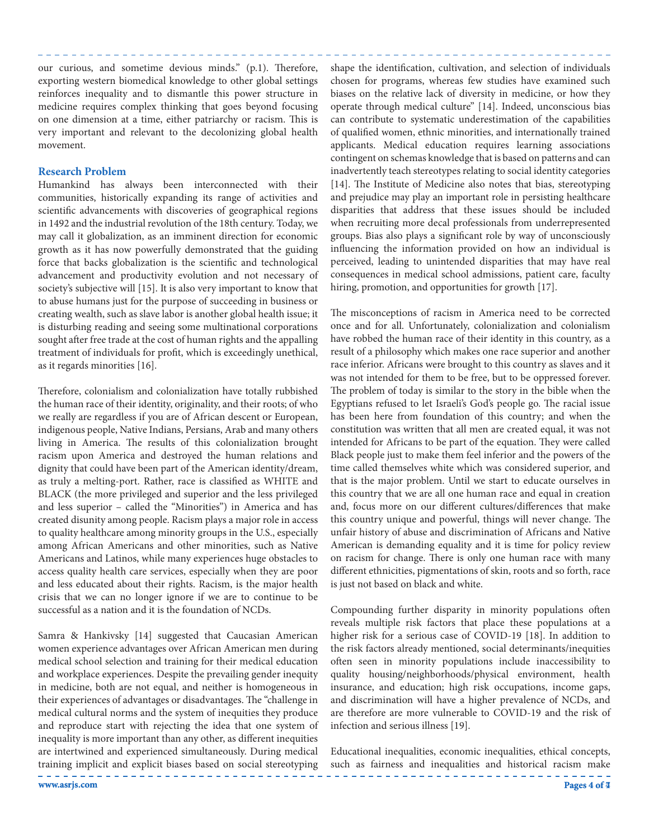our curious, and sometime devious minds." (p.1). Therefore, exporting western biomedical knowledge to other global settings reinforces inequality and to dismantle this power structure in medicine requires complex thinking that goes beyond focusing on one dimension at a time, either patriarchy or racism. This is very important and relevant to the decolonizing global health movement.

#### **Research Problem**

Humankind has always been interconnected with their communities, historically expanding its range of activities and scientific advancements with discoveries of geographical regions in 1492 and the industrial revolution of the 18th century. Today, we may call it globalization, as an imminent direction for economic growth as it has now powerfully demonstrated that the guiding force that backs globalization is the scientific and technological advancement and productivity evolution and not necessary of society's subjective will [15]. It is also very important to know that to abuse humans just for the purpose of succeeding in business or creating wealth, such as slave labor is another global health issue; it is disturbing reading and seeing some multinational corporations sought after free trade at the cost of human rights and the appalling treatment of individuals for profit, which is exceedingly unethical, as it regards minorities [16].

Therefore, colonialism and colonialization have totally rubbished the human race of their identity, originality, and their roots; of who we really are regardless if you are of African descent or European, indigenous people, Native Indians, Persians, Arab and many others living in America. The results of this colonialization brought racism upon America and destroyed the human relations and dignity that could have been part of the American identity/dream, as truly a melting-port. Rather, race is classified as WHITE and BLACK (the more privileged and superior and the less privileged and less superior – called the "Minorities") in America and has created disunity among people. Racism plays a major role in access to quality healthcare among minority groups in the U.S., especially among African Americans and other minorities, such as Native Americans and Latinos, while many experiences huge obstacles to access quality health care services, especially when they are poor and less educated about their rights. Racism, is the major health crisis that we can no longer ignore if we are to continue to be successful as a nation and it is the foundation of NCDs.

Samra & Hankivsky [14] suggested that Caucasian American women experience advantages over African American men during medical school selection and training for their medical education and workplace experiences. Despite the prevailing gender inequity in medicine, both are not equal, and neither is homogeneous in their experiences of advantages or disadvantages. The "challenge in medical cultural norms and the system of inequities they produce and reproduce start with rejecting the idea that one system of inequality is more important than any other, as different inequities are intertwined and experienced simultaneously. During medical training implicit and explicit biases based on social stereotyping shape the identification, cultivation, and selection of individuals chosen for programs, whereas few studies have examined such biases on the relative lack of diversity in medicine, or how they operate through medical culture" [14]. Indeed, unconscious bias can contribute to systematic underestimation of the capabilities of qualified women, ethnic minorities, and internationally trained applicants. Medical education requires learning associations contingent on schemas knowledge that is based on patterns and can inadvertently teach stereotypes relating to social identity categories [14]. The Institute of Medicine also notes that bias, stereotyping and prejudice may play an important role in persisting healthcare disparities that address that these issues should be included when recruiting more decal professionals from underrepresented groups. Bias also plays a significant role by way of unconsciously influencing the information provided on how an individual is perceived, leading to unintended disparities that may have real consequences in medical school admissions, patient care, faculty hiring, promotion, and opportunities for growth [17].

The misconceptions of racism in America need to be corrected once and for all. Unfortunately, colonialization and colonialism have robbed the human race of their identity in this country, as a result of a philosophy which makes one race superior and another race inferior. Africans were brought to this country as slaves and it was not intended for them to be free, but to be oppressed forever. The problem of today is similar to the story in the bible when the Egyptians refused to let Israeli's God's people go. The racial issue has been here from foundation of this country; and when the constitution was written that all men are created equal, it was not intended for Africans to be part of the equation. They were called Black people just to make them feel inferior and the powers of the time called themselves white which was considered superior, and that is the major problem. Until we start to educate ourselves in this country that we are all one human race and equal in creation and, focus more on our different cultures/differences that make this country unique and powerful, things will never change. The unfair history of abuse and discrimination of Africans and Native American is demanding equality and it is time for policy review on racism for change. There is only one human race with many different ethnicities, pigmentations of skin, roots and so forth, race is just not based on black and white.

Compounding further disparity in minority populations often reveals multiple risk factors that place these populations at a higher risk for a serious case of COVID-19 [18]. In addition to the risk factors already mentioned, social determinants/inequities often seen in minority populations include inaccessibility to quality housing/neighborhoods/physical environment, health insurance, and education; high risk occupations, income gaps, and discrimination will have a higher prevalence of NCDs, and are therefore are more vulnerable to COVID-19 and the risk of infection and serious illness [19].

Educational inequalities, economic inequalities, ethical concepts, such as fairness and inequalities and historical racism make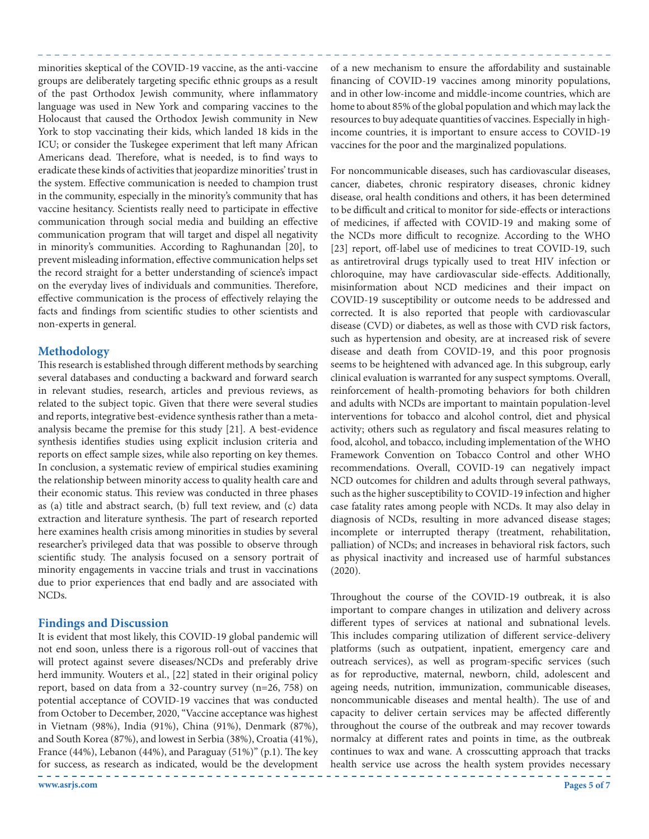minorities skeptical of the COVID-19 vaccine, as the anti-vaccine groups are deliberately targeting specific ethnic groups as a result of the past Orthodox Jewish community, where inflammatory language was used in New York and comparing vaccines to the Holocaust that caused the Orthodox Jewish community in New York to stop vaccinating their kids, which landed 18 kids in the ICU; or consider the Tuskegee experiment that left many African Americans dead. Therefore, what is needed, is to find ways to eradicate these kinds of activities that jeopardize minorities' trust in the system. Effective communication is needed to champion trust in the community, especially in the minority's community that has vaccine hesitancy. Scientists really need to participate in effective communication through social media and building an effective communication program that will target and dispel all negativity in minority's communities. According to Raghunandan [20], to prevent misleading information, effective communication helps set the record straight for a better understanding of science's impact on the everyday lives of individuals and communities. Therefore, effective communication is the process of effectively relaying the facts and findings from scientific studies to other scientists and non-experts in general.

### **Methodology**

This research is established through different methods by searching several databases and conducting a backward and forward search in relevant studies, research, articles and previous reviews, as related to the subject topic. Given that there were several studies and reports, integrative best-evidence synthesis rather than a metaanalysis became the premise for this study [21]. A best-evidence synthesis identifies studies using explicit inclusion criteria and reports on effect sample sizes, while also reporting on key themes. In conclusion, a systematic review of empirical studies examining the relationship between minority access to quality health care and their economic status. This review was conducted in three phases as (a) title and abstract search, (b) full text review, and (c) data extraction and literature synthesis. The part of research reported here examines health crisis among minorities in studies by several researcher's privileged data that was possible to observe through scientific study. The analysis focused on a sensory portrait of minority engagements in vaccine trials and trust in vaccinations due to prior experiences that end badly and are associated with NCDs.

### **Findings and Discussion**

It is evident that most likely, this COVID-19 global pandemic will not end soon, unless there is a rigorous roll-out of vaccines that will protect against severe diseases/NCDs and preferably drive herd immunity. Wouters et al., [22] stated in their original policy report, based on data from a 32-country survey (n=26, 758) on potential acceptance of COVID-19 vaccines that was conducted from October to December, 2020, "Vaccine acceptance was highest in Vietnam (98%), India (91%), China (91%), Denmark (87%), and South Korea (87%), and lowest in Serbia (38%), Croatia (41%), France (44%), Lebanon (44%), and Paraguay (51%)" (p.1). The key for success, as research as indicated, would be the development

**www.asrjs.com Pages 5 of 7**

of a new mechanism to ensure the affordability and sustainable financing of COVID-19 vaccines among minority populations, and in other low-income and middle-income countries, which are home to about 85% of the global population and which may lack the resources to buy adequate quantities of vaccines. Especially in highincome countries, it is important to ensure access to COVID-19 vaccines for the poor and the marginalized populations.

For noncommunicable diseases, such has cardiovascular diseases, cancer, diabetes, chronic respiratory diseases, chronic kidney disease, oral health conditions and others, it has been determined to be difficult and critical to monitor for side-effects or interactions of medicines, if affected with COVID-19 and making some of the NCDs more difficult to recognize. According to the WHO [23] report, off-label use of medicines to treat COVID-19, such as antiretroviral drugs typically used to treat HIV infection or chloroquine, may have cardiovascular side-effects. Additionally, misinformation about NCD medicines and their impact on COVID-19 susceptibility or outcome needs to be addressed and corrected. It is also reported that people with cardiovascular disease (CVD) or diabetes, as well as those with CVD risk factors, such as hypertension and obesity, are at increased risk of severe disease and death from COVID-19, and this poor prognosis seems to be heightened with advanced age. In this subgroup, early clinical evaluation is warranted for any suspect symptoms. Overall, reinforcement of health-promoting behaviors for both children and adults with NCDs are important to maintain population-level interventions for tobacco and alcohol control, diet and physical activity; others such as regulatory and fiscal measures relating to food, alcohol, and tobacco, including implementation of the WHO Framework Convention on Tobacco Control and other WHO recommendations. Overall, COVID-19 can negatively impact NCD outcomes for children and adults through several pathways, such as the higher susceptibility to COVID-19 infection and higher case fatality rates among people with NCDs. It may also delay in diagnosis of NCDs, resulting in more advanced disease stages; incomplete or interrupted therapy (treatment, rehabilitation, palliation) of NCDs; and increases in behavioral risk factors, such as physical inactivity and increased use of harmful substances (2020).

Throughout the course of the COVID-19 outbreak, it is also important to compare changes in utilization and delivery across different types of services at national and subnational levels. This includes comparing utilization of different service-delivery platforms (such as outpatient, inpatient, emergency care and outreach services), as well as program-specific services (such as for reproductive, maternal, newborn, child, adolescent and ageing needs, nutrition, immunization, communicable diseases, noncommunicable diseases and mental health). The use of and capacity to deliver certain services may be affected differently throughout the course of the outbreak and may recover towards normalcy at different rates and points in time, as the outbreak continues to wax and wane. A crosscutting approach that tracks health service use across the health system provides necessary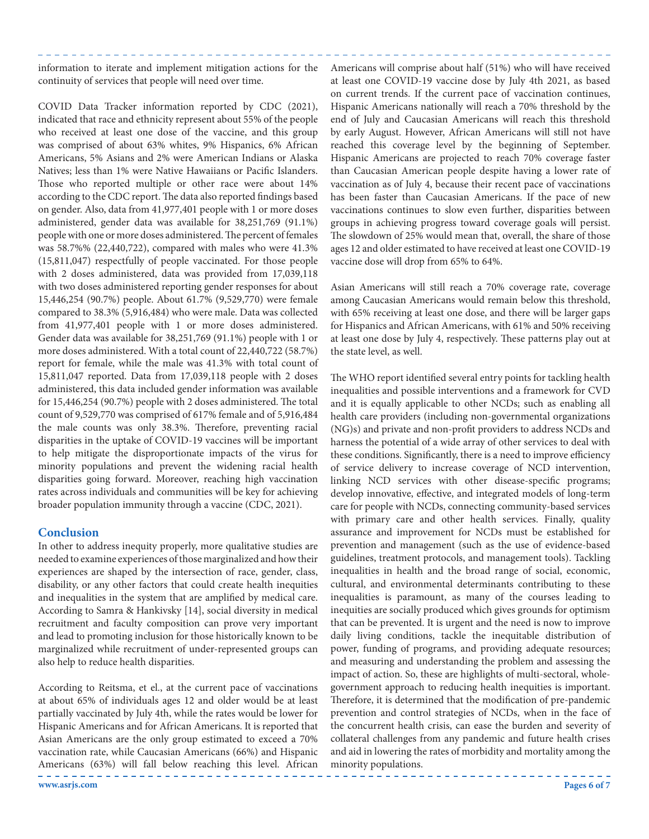information to iterate and implement mitigation actions for the continuity of services that people will need over time.

COVID Data Tracker information reported by CDC (2021), indicated that race and ethnicity represent about 55% of the people who received at least one dose of the vaccine, and this group was comprised of about 63% whites, 9% Hispanics, 6% African Americans, 5% Asians and 2% were American Indians or Alaska Natives; less than 1% were Native Hawaiians or Pacific Islanders. Those who reported multiple or other race were about 14% according to the CDC report. The data also reported findings based on gender. Also, data from 41,977,401 people with 1 or more doses administered, gender data was available for 38,251,769 (91.1%) people with one or more doses administered. The percent of females was 58.7%% (22,440,722), compared with males who were 41.3% (15,811,047) respectfully of people vaccinated. For those people with 2 doses administered, data was provided from 17,039,118 with two doses administered reporting gender responses for about 15,446,254 (90.7%) people. About 61.7% (9,529,770) were female compared to 38.3% (5,916,484) who were male. Data was collected from 41,977,401 people with 1 or more doses administered. Gender data was available for 38,251,769 (91.1%) people with 1 or more doses administered. With a total count of 22,440,722 (58.7%) report for female, while the male was 41.3% with total count of 15,811,047 reported. Data from 17,039,118 people with 2 doses administered, this data included gender information was available for 15,446,254 (90.7%) people with 2 doses administered. The total count of 9,529,770 was comprised of 617% female and of 5,916,484 the male counts was only 38.3%. Therefore, preventing racial disparities in the uptake of COVID-19 vaccines will be important to help mitigate the disproportionate impacts of the virus for minority populations and prevent the widening racial health disparities going forward. Moreover, reaching high vaccination rates across individuals and communities will be key for achieving broader population immunity through a vaccine (CDC, 2021).

# **Conclusion**

In other to address inequity properly, more qualitative studies are needed to examine experiences of those marginalized and how their experiences are shaped by the intersection of race, gender, class, disability, or any other factors that could create health inequities and inequalities in the system that are amplified by medical care. According to Samra & Hankivsky [14], social diversity in medical recruitment and faculty composition can prove very important and lead to promoting inclusion for those historically known to be marginalized while recruitment of under-represented groups can also help to reduce health disparities.

According to Reitsma, et el., at the current pace of vaccinations at about 65% of individuals ages 12 and older would be at least partially vaccinated by July 4th, while the rates would be lower for Hispanic Americans and for African Americans. It is reported that Asian Americans are the only group estimated to exceed a 70% vaccination rate, while Caucasian Americans (66%) and Hispanic Americans (63%) will fall below reaching this level. African

Americans will comprise about half (51%) who will have received at least one COVID-19 vaccine dose by July 4th 2021, as based on current trends. If the current pace of vaccination continues, Hispanic Americans nationally will reach a 70% threshold by the end of July and Caucasian Americans will reach this threshold by early August. However, African Americans will still not have reached this coverage level by the beginning of September. Hispanic Americans are projected to reach 70% coverage faster than Caucasian American people despite having a lower rate of vaccination as of July 4, because their recent pace of vaccinations has been faster than Caucasian Americans. If the pace of new vaccinations continues to slow even further, disparities between groups in achieving progress toward coverage goals will persist. The slowdown of 25% would mean that, overall, the share of those ages 12 and older estimated to have received at least one COVID-19 vaccine dose will drop from 65% to 64%.

Asian Americans will still reach a 70% coverage rate, coverage among Caucasian Americans would remain below this threshold, with 65% receiving at least one dose, and there will be larger gaps for Hispanics and African Americans, with 61% and 50% receiving at least one dose by July 4, respectively. These patterns play out at the state level, as well.

The WHO report identified several entry points for tackling health inequalities and possible interventions and a framework for CVD and it is equally applicable to other NCDs; such as enabling all health care providers (including non-governmental organizations (NG)s) and private and non-profit providers to address NCDs and harness the potential of a wide array of other services to deal with these conditions. Significantly, there is a need to improve efficiency of service delivery to increase coverage of NCD intervention, linking NCD services with other disease-specific programs; develop innovative, effective, and integrated models of long-term care for people with NCDs, connecting community-based services with primary care and other health services. Finally, quality assurance and improvement for NCDs must be established for prevention and management (such as the use of evidence-based guidelines, treatment protocols, and management tools). Tackling inequalities in health and the broad range of social, economic, cultural, and environmental determinants contributing to these inequalities is paramount, as many of the courses leading to inequities are socially produced which gives grounds for optimism that can be prevented. It is urgent and the need is now to improve daily living conditions, tackle the inequitable distribution of power, funding of programs, and providing adequate resources; and measuring and understanding the problem and assessing the impact of action. So, these are highlights of multi-sectoral, wholegovernment approach to reducing health inequities is important. Therefore, it is determined that the modification of pre-pandemic prevention and control strategies of NCDs, when in the face of the concurrent health crisis, can ease the burden and severity of collateral challenges from any pandemic and future health crises and aid in lowering the rates of morbidity and mortality among the minority populations.